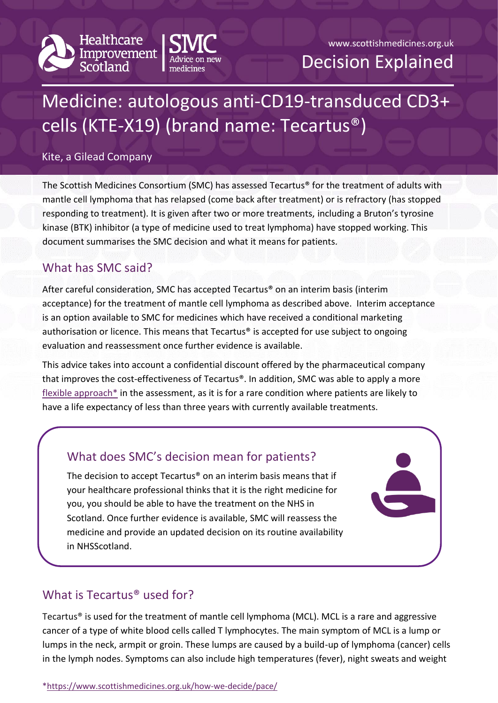



# Medicine: autologous anti-CD19-transduced CD3+ cells (KTE-X19) (brand name: Tecartus®)

#### Kite, a Gilead Company

The Scottish Medicines Consortium (SMC) has assessed Tecartus® for the treatment of adults with mantle cell lymphoma that has relapsed (come back after treatment) or is refractory (has stopped responding to treatment). It is given after two or more treatments, including a Bruton's tyrosine kinase (BTK) inhibitor (a type of medicine used to treat lymphoma) have stopped working. This document summarises the SMC decision and what it means for patients.

## What has SMC said?

After careful consideration, SMC has accepted Tecartus® on an interim basis (interim acceptance) for the treatment of mantle cell lymphoma as described above. Interim acceptance is an option available to SMC for medicines which have received a conditional marketing authorisation or licence. This means that Tecartus® is accepted for use subject to ongoing evaluation and reassessment once further evidence is available.

This advice takes into account a confidential discount offered by the pharmaceutical company that improves the cost-effectiveness of Tecartus®. In addition, SMC was able to apply a more [flexible approach\\*](https://www.scottishmedicines.org.uk/how-we-decide/pace/) in the assessment, as it is for a rare condition where patients are likely to have a life expectancy of less than three years with currently available treatments.

## What does SMC's decision mean for patients? The decision to accept Tecartus® on an interim basis means that if your healthcare professional thinks that it is the right medicine for you, you should be able to have the treatment on the NHS in Scotland. Once further evidence is available, SMC will reassess the medicine and provide an updated decision on its routine availability in NHSScotland.

## What is Tecartus® used for?

Tecartus® is used for the treatment of mantle cell lymphoma (MCL). MCL is a rare and aggressive cancer of a type of white blood cells called T lymphocytes. The main symptom of MCL is a lump or lumps in the neck, armpit or groin. These lumps are caused by a build-up of lymphoma (cancer) cells in the lymph nodes. Symptoms can also include high temperatures (fever), night sweats and weight